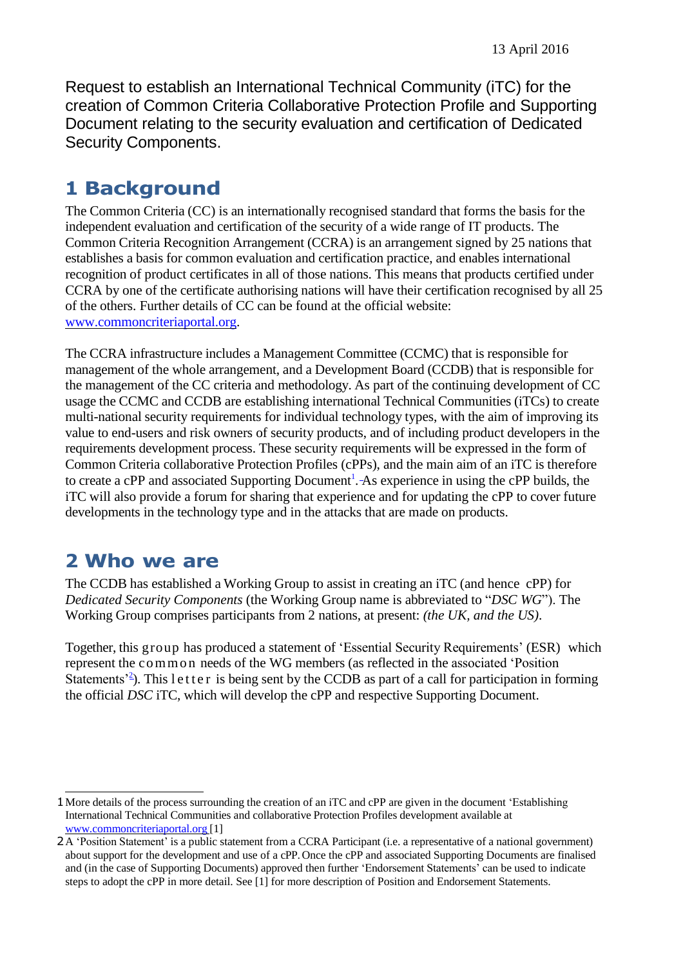Request to establish an International Technical Community (iTC) for the creation of Common Criteria Collaborative Protection Profile and Supporting Document relating to the security evaluation and certification of Dedicated Security Components.

## **1 Background**

The Common Criteria (CC) is an internationally recognised standard that forms the basis for the independent evaluation and certification of the security of a wide range of IT products. The Common Criteria Recognition Arrangement (CCRA) is an arrangement signed by 25 nations that establishes a basis for common evaluation and certification practice, and enables international recognition of product certificates in all of those nations. This means that products certified under CCRA by one of the certificate authorising nations will have their certification recognised by all 25 of the others. Further details of CC can be found at the official website: [www.commoncriteriaportal.org.](http://www.commoncriteriaportal.org/)

The CCRA infrastructure includes a Management Committee (CCMC) that is responsible for management of the whole arrangement, and a Development Board (CCDB) that is responsible for the management of the CC criteria and methodology. As part of the continuing development of CC usage the CCMC and CCDB are establishing international Technical Communities (iTCs) to create multi-national security requirements for individual technology types, with the aim of improving its value to end-users and risk owners of security products, and of including product developers in the requirements development process. These security requirements will be expressed in the form of Common Criteria collaborative Protection Profiles (cPPs), and the main aim of an iTC is therefore to create a cPP and associated Supporting Document<sup>1</sup>[.](#page-0-0) As experience in using the cPP builds, the iTC will also provide a forum for sharing that experience and for updating the cPP to cover future developments in the technology type and in the attacks that are made on products.

### **2 Who we are**

The CCDB has established a Working Group to assist in creating an iTC (and hence cPP) for *Dedicated Security Components* (the Working Group name is abbreviated to "*DSC WG*"). The Working Group comprises participants from 2 nations, at present: *(the UK, and the US)*.

Together, this group has produced a statement of 'Essential Security Requirements' (ESR) which represent the co mmo n needs of the WG members (as reflected in the associated 'Position Statements<sup> $2^2$ </sup>). This letter is being sent by the CCDB as part of a call for participation in forming the official *DSC* iTC, which will develop the cPP and respective Supporting Document.

<span id="page-0-0"></span><sup>1</sup>More details of the process surrounding the creation of an iTC and cPP are given in the document 'Establishing International Technical Communities and collaborative Protection Profiles development available at [www.commoncriteriaportal.org](http://www.commoncriteriaportal.org/) [1]

<span id="page-0-1"></span><sup>2</sup>A 'Position Statement' is a public statement from a CCRA Participant (i.e. a representative of a national government) about support for the development and use of a cPP. Once the cPP and associated Supporting Documents are finalised and (in the case of Supporting Documents) approved then further 'Endorsement Statements' can be used to indicate steps to adopt the cPP in more detail. See [1] for more description of Position and Endorsement Statements.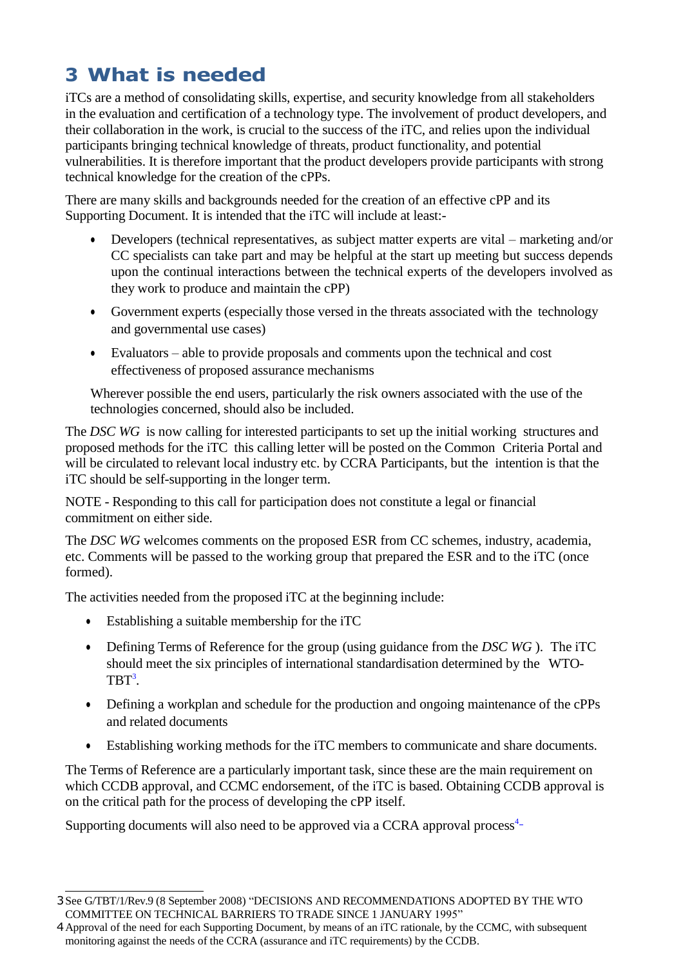# **3 What is needed**

iTCs are a method of consolidating skills, expertise, and security knowledge from all stakeholders in the evaluation and certification of a technology type. The involvement of product developers, and their collaboration in the work, is crucial to the success of the iTC, and relies upon the individual participants bringing technical knowledge of threats, product functionality, and potential vulnerabilities. It is therefore important that the product developers provide participants with strong technical knowledge for the creation of the cPPs.

There are many skills and backgrounds needed for the creation of an effective cPP and its Supporting Document. It is intended that the iTC will include at least:-

- Developers (technical representatives, as subject matter experts are vital marketing and/or CC specialists can take part and may be helpful at the start up meeting but success depends upon the continual interactions between the technical experts of the developers involved as they work to produce and maintain the cPP)
- Government experts (especially those versed in the threats associated with the technology and governmental use cases)
- Evaluators able to provide proposals and comments upon the technical and cost effectiveness of proposed assurance mechanisms

Wherever possible the end users, particularly the risk owners associated with the use of the technologies concerned, should also be included.

The *DSC WG* is now calling for interested participants to set up the initial working structures and proposed methods for the iTC this calling letter will be posted on the Common Criteria Portal and will be circulated to relevant local industry etc. by CCRA Participants, but the intention is that the iTC should be self-supporting in the longer term.

NOTE - Responding to this call for participation does not constitute a legal or financial commitment on either side.

The *DSC WG* welcomes comments on the proposed ESR from CC schemes, industry, academia, etc. Comments will be passed to the working group that prepared the ESR and to the iTC (once formed).

The activities needed from the proposed iTC at the beginning include:

- Establishing a suitable membership for the iTC
- Defining Terms of Reference for the group (using guidance from the *DSC WG* ). The iTC should meet the six principles of international standardisation determined by the WTO- $TBT^3$ [.](#page-1-0)
- Defining a workplan and schedule for the production and ongoing maintenance of the cPPs and related documents
- Establishing working methods for the iTC members to communicate and share documents.

The Terms of Reference are a particularly important task, since these are the main requirement on which CCDB approval, and CCMC endorsement, of the iTC is based. Obtaining CCDB approval is on the critical path for the process of developing the cPP itself.

Supporting document[s](#page-1-1) will also need to be approved via a CCRA approval process<sup>4</sup>-

<span id="page-1-0"></span><sup>3</sup>See G/TBT/1/Rev.9 (8 September 2008) "DECISIONS AND RECOMMENDATIONS ADOPTED BY THE WTO COMMITTEE ON TECHNICAL BARRIERS TO TRADE SINCE 1 JANUARY 1995"

<span id="page-1-1"></span><sup>4</sup>Approval of the need for each Supporting Document, by means of an iTC rationale, by the CCMC, with subsequent monitoring against the needs of the CCRA (assurance and iTC requirements) by the CCDB.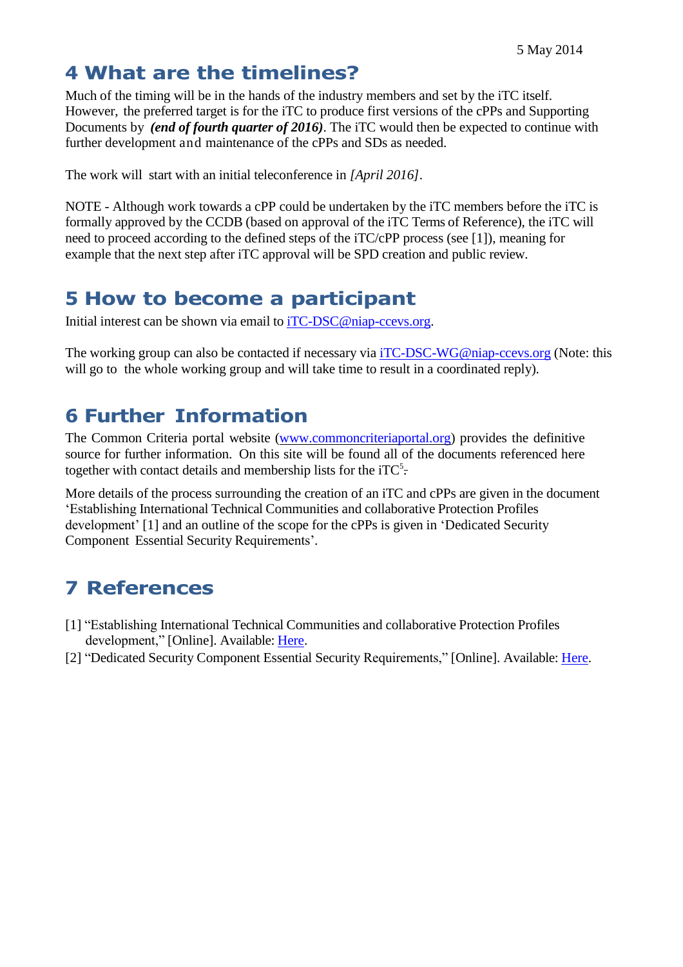#### **4 What are the timelines?**

Much of the timing will be in the hands of the industry members and set by the iTC itself. However, the preferred target is for the iTC to produce first versions of the cPPs and Supporting Documents by *(end of fourth quarter of 2016)*. The iTC would then be expected to continue with further development and maintenance of the cPPs and SDs as needed.

The work will start with an initial teleconference in *[April 2016]*.

NOTE - Although work towards a cPP could be undertaken by the iTC members before the iTC is formally approved by the CCDB (based on approval of the iTC Terms of Reference), the iTC will need to proceed according to the defined steps of the iTC/cPP process (see [1]), meaning for example that the next step after iTC approval will be SPD creation and public review.

## **5 How to become a participant**

Initial interest can be shown via email to [iTC-DSC@niap-ccevs.org.](mailto:iTC-DSC@niap-ccevs.org)

The working group can also be contacted if necessary via [iTC-DSC-WG@niap-ccevs.org](mailto:iTC-DSC-WG@niap-ccevs.org) (Note: this will go to the whole working group and will take time to result in a coordinated reply).

### **6 Further Information**

The Common Criteria portal website [\(www.commoncriteriaportal.org\)](http://www.commoncriteriaportal.org/) provides the definitive source for further information. On this site will be found all of the documents referenced here together with contact details and membership lists for the iTC<sup>5</sup>.

More details of the process surrounding the creation of an iTC and cPPs are given in the document 'Establishing International Technical Communities and collaborative Protection Profiles development' [1] and an outline of the scope for the cPPs is given in 'Dedicated Security Component Essential Security Requirements'.

# **7 References**

- [1] "Establishing International Technical Communities and collaborative Protection Profiles development," [Online]. Available: [Here.](http://www.commoncriteriaportal.org/files/communities/Establishing%20iTCs%20and%20cPP%20development%20-%20v0-7.pdf)
- [2] "Dedicated Security Component Essential Security Requirements," [Online]. Available: [Here.](http://www.commoncriteriaportal.org/communities/CCDB_DSC_ESR_v1.0.pdf)